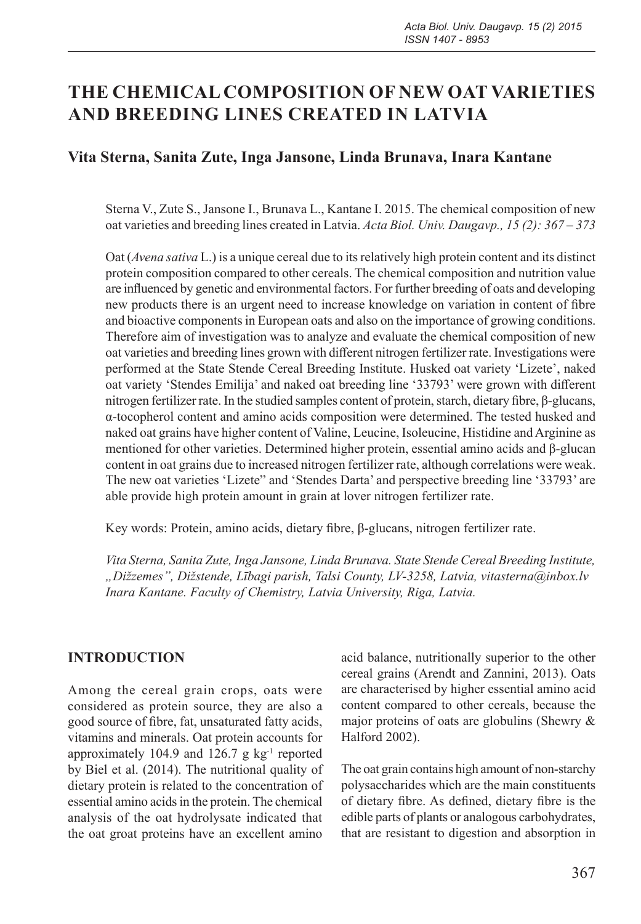# **THE CHEMICAL COMPOSITION OF NEW OAT VARIETIES AND BREEDING LINES CREATED IN LATVIA**

### **Vita Sterna, Sanita Zute, Inga Jansone, Linda Brunava, Inara Kantane**

Sterna V., Zute S., Jansone I., Brunava L., Kantane I. 2015. The chemical composition of new oat varieties and breeding lines created in Latvia. *Acta Biol. Univ. Daugavp., 15 (2): 367 – 373*

Oat (*Avena sativa* L.) is a unique cereal due to its relatively high protein content and its distinct protein composition compared to other cereals. The chemical composition and nutrition value are influenced by genetic and environmental factors. For further breeding of oats and developing new products there is an urgent need to increase knowledge on variation in content of fibre and bioactive components in European oats and also on the importance of growing conditions. Therefore aim of investigation was to analyze and evaluate the chemical composition of new oat varieties and breeding lines grown with different nitrogen fertilizer rate. Investigations were performed at the State Stende Cereal Breeding Institute. Husked oat variety 'Lizete', naked oat variety 'Stendes Emilija' and naked oat breeding line '33793' were grown with different nitrogen fertilizer rate. In the studied samples content of protein, starch, dietary fibre, β-glucans, α-tocopherol content and amino acids composition were determined. The tested husked and naked oat grains have higher content of Valine, Leucine, Isoleucine, Histidine and Arginine as mentioned for other varieties. Determined higher protein, essential amino acids and β-glucan content in oat grains due to increased nitrogen fertilizer rate, although correlations were weak. The new oat varieties 'Lizete" and 'Stendes Darta' and perspective breeding line '33793' are able provide high protein amount in grain at lover nitrogen fertilizer rate.

Key words: Protein, amino acids, dietary fibre, β-glucans, nitrogen fertilizer rate.

*Vita Sterna, Sanita Zute, Inga Jansone, Linda Brunava. State Stende Cereal Breeding Institute, "Dižzemes", Dižstende, Lībagi parish, Talsi County, LV-3258, Latvia, vitasterna@inbox.lv Inara Kantane. Faculty of Chemistry, Latvia University, Riga, Latvia.*

### **INTRODUCTION**

Among the cereal grain crops, oats were considered as protein source, they are also a good source of fibre, fat, unsaturated fatty acids, vitamins and minerals. Oat protein accounts for approximately 104.9 and 126.7 g kg-1 reported by Biel et al. (2014). The nutritional quality of dietary protein is related to the concentration of essential amino acids in the protein. The chemical analysis of the oat hydrolysate indicated that the oat groat proteins have an excellent amino

acid balance, nutritionally superior to the other cereal grains (Arendt and Zannini, 2013). Oats are characterised by higher essential amino acid content compared to other cereals, because the major proteins of oats are globulins (Shewry & Halford 2002).

The oat grain contains high amount of non-starchy polysaccharides which are the main constituents of dietary fibre. As defined, dietary fibre is the edible parts of plants or analogous carbohydrates, that are resistant to digestion and absorption in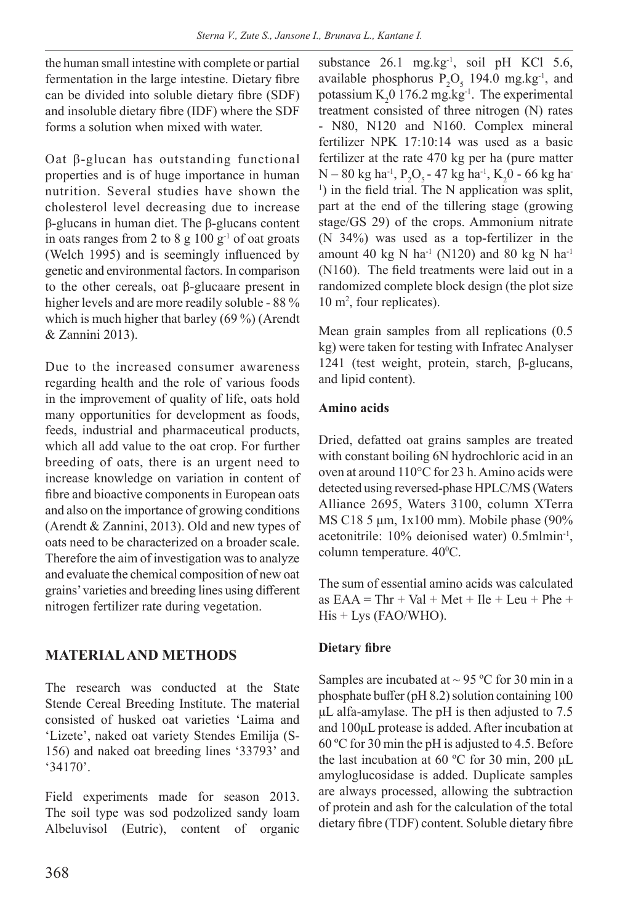the human small intestine with complete or partial fermentation in the large intestine. Dietary fibre can be divided into soluble dietary fibre (SDF) and insoluble dietary fibre (IDF) where the SDF forms a solution when mixed with water.

Oat β-glucan has outstanding functional properties and is of huge importance in human nutrition. Several studies have shown the cholesterol level decreasing due to increase β-glucans in human diet. The β-glucans content in oats ranges from 2 to 8 g  $100 \text{ g}^{-1}$  of oat groats (Welch 1995) and is seemingly influenced by genetic and environmental factors. In comparison to the other cereals, oat β-glucaare present in higher levels and are more readily soluble - 88 % which is much higher that barley (69 %) (Arendt & Zannini 2013).

Due to the increased consumer awareness regarding health and the role of various foods in the improvement of quality of life, oats hold many opportunities for development as foods, feeds, industrial and pharmaceutical products, which all add value to the oat crop. For further breeding of oats, there is an urgent need to increase knowledge on variation in content of fibre and bioactive components in European oats and also on the importance of growing conditions (Arendt & Zannini, 2013). Old and new types of oats need to be characterized on a broader scale. Therefore the aim of investigation was to analyze and evaluate the chemical composition of new oat grains' varieties and breeding lines using different nitrogen fertilizer rate during vegetation.

### **MATERIAL AND METHODS**

The research was conducted at the State Stende Cereal Breeding Institute. The material consisted of husked oat varieties 'Laima and 'Lizete', naked oat variety Stendes Emilija (S-156) and naked oat breeding lines '33793' and '34170'.

Field experiments made for season 2013. The soil type was sod podzolized sandy loam Albeluvisol (Eutric), content of organic substance 26.1 mg.kg<sup>-1</sup>, soil pH KCl 5.6, available phosphorus  $P_2O_5$  194.0 mg.kg<sup>-1</sup>, and potassium  $K_2$ 0 176.2 mg.kg<sup>-1</sup>. The experimental treatment consisted of three nitrogen (N) rates - N80, N120 and N160. Complex mineral fertilizer NPK 17:10:14 was used as a basic fertilizer at the rate 470 kg per ha (pure matter  $N - 80$  kg ha<sup>-1</sup>,  $P_2O_5$  - 47 kg ha<sup>-1</sup>, K<sub>2</sub>0 - 66 kg ha<sup>-1</sup>  $\alpha$ <sup>1</sup>) in the field trial. The N application was split, part at the end of the tillering stage (growing stage/GS 29) of the crops. Ammonium nitrate (N 34%) was used as a top-fertilizer in the amount 40 kg N ha<sup>-1</sup> (N120) and 80 kg N ha<sup>-1</sup> (N160). The field treatments were laid out in a randomized complete block design (the plot size 10 m2 , four replicates).

Mean grain samples from all replications (0.5 kg) were taken for testing with Infratec Analyser 1241 (test weight, protein, starch, β-glucans, and lipid content).

### **Amino acids**

Dried, defatted oat grains samples are treated with constant boiling 6N hydrochloric acid in an oven at around 110°C for 23 h. Amino acids were detected using reversed-phase HPLC/MS (Waters Alliance 2695, Waters 3100, column XTerra MS C18 5 μm, 1x100 mm). Mobile phase (90% acetonitrile: 10% deionised water) 0.5mlmin-1, column temperature. 40<sup>o</sup>C.

The sum of essential amino acids was calculated as  $EAA = Thr + Val + Met + Ile + Leu + Phe +$ His + Lys (FAO/WHO).

### **Dietary fibre**

Samples are incubated at  $\sim$  95 °C for 30 min in a phosphate buffer (pH 8.2) solution containing 100 μL alfa-amylase. The pH is then adjusted to 7.5 and 100μL protease is added. After incubation at 60 ºC for 30 min the pH is adjusted to 4.5. Before the last incubation at 60 ºC for 30 min, 200 μL amyloglucosidase is added. Duplicate samples are always processed, allowing the subtraction of protein and ash for the calculation of the total dietary fibre (TDF) content. Soluble dietary fibre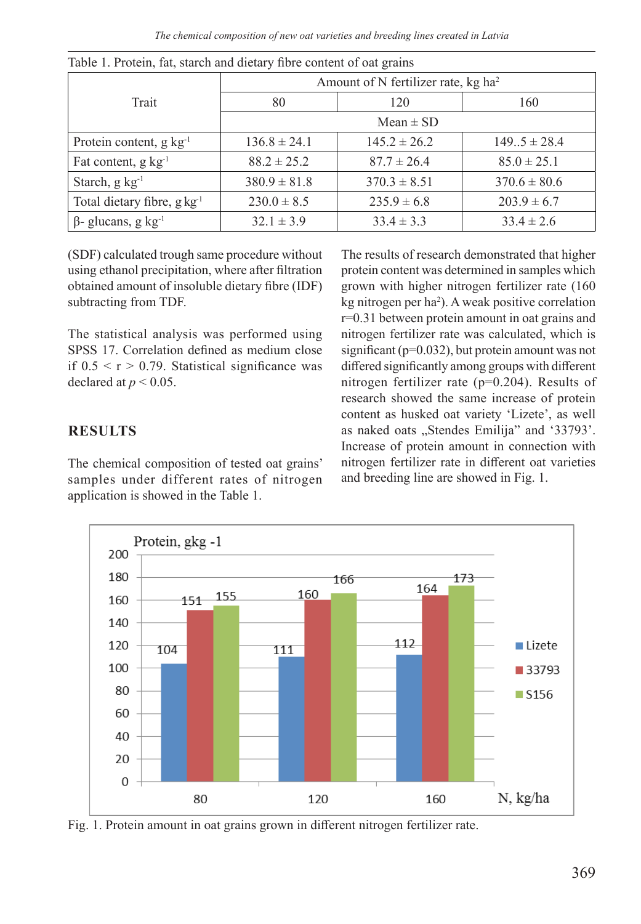*The chemical composition of new oat varieties and breeding lines created in Latvia*

|                                      | Amount of N fertilizer rate, kg ha <sup>2</sup> |                  |                  |  |  |  |
|--------------------------------------|-------------------------------------------------|------------------|------------------|--|--|--|
| Trait                                | 120<br>80                                       |                  | 160              |  |  |  |
|                                      | Mean $\pm$ SD                                   |                  |                  |  |  |  |
| Protein content, $g \text{ kg}^{-1}$ | $136.8 \pm 24.1$                                | $145.2 \pm 26.2$ | $149.5 \pm 28.4$ |  |  |  |
| Fat content, $g \text{ kg}^{-1}$     | $88.2 \pm 25.2$                                 | $87.7 \pm 26.4$  | $85.0 \pm 25.1$  |  |  |  |
| Starch, $g \text{ kg}^{-1}$          | $380.9 \pm 81.8$                                | $370.3 \pm 8.51$ | $370.6 \pm 80.6$ |  |  |  |
| Total dietary fibre, $g \, kg^{-1}$  | $230.0 \pm 8.5$                                 | $235.9 \pm 6.8$  | $203.9 \pm 6.7$  |  |  |  |
| $β$ - glucans, g kg <sup>-1</sup>    | $32.1 \pm 3.9$                                  | $33.4 \pm 3.3$   | $33.4 \pm 2.6$   |  |  |  |

Table 1. Protein, fat, starch and dietary fibre content of oat grains

(SDF) calculated trough same procedure without using ethanol precipitation, where after filtration obtained amount of insoluble dietary fibre (IDF) subtracting from TDF.

The statistical analysis was performed using SPSS 17. Correlation defined as medium close if  $0.5 < r > 0.79$ . Statistical significance was declared at  $p < 0.05$ .

### **RESULTS**

The chemical composition of tested oat grains' samples under different rates of nitrogen application is showed in the Table 1.

The results of research demonstrated that higher protein content was determined in samples which grown with higher nitrogen fertilizer rate (160 kg nitrogen per ha2 ). A weak positive correlation r=0.31 between protein amount in oat grains and nitrogen fertilizer rate was calculated, which is significant (p=0.032), but protein amount was not differed significantly among groups with different nitrogen fertilizer rate (p=0.204). Results of research showed the same increase of protein content as husked oat variety 'Lizete', as well as naked oats "Stendes Emilija" and '33793'. Increase of protein amount in connection with nitrogen fertilizer rate in different oat varieties and breeding line are showed in Fig. 1.



Fig. 1. Protein amount in oat grains grown in different nitrogen fertilizer rate.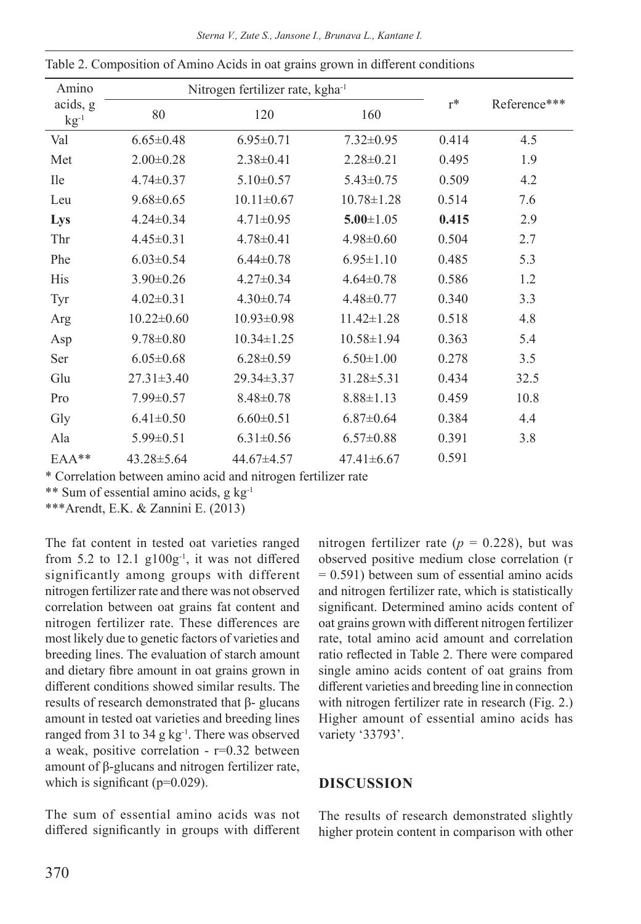|  |  |  |  |  |  |  | Sterna V., Zute S., Jansone I., Brunava L., Kantane I. |
|--|--|--|--|--|--|--|--------------------------------------------------------|
|--|--|--|--|--|--|--|--------------------------------------------------------|

| Amino                 |                  | Nitrogen fertilizer rate, kgha <sup>-1</sup> |                  |       |              |
|-----------------------|------------------|----------------------------------------------|------------------|-------|--------------|
| acids, g<br>$kg^{-1}$ | 80               | 120                                          | 160              | $r^*$ | Reference*** |
| Val                   | $6.65 \pm 0.48$  | $6.95 \pm 0.71$                              | $7.32 \pm 0.95$  | 0.414 | 4.5          |
| Met                   | $2.00 \pm 0.28$  | $2.38 \pm 0.41$                              | $2.28 \pm 0.21$  | 0.495 | 1.9          |
| <b>Ile</b>            | $4.74 \pm 0.37$  | $5.10 \pm 0.57$                              | $5.43 \pm 0.75$  | 0.509 | 4.2          |
| Leu                   | $9.68 \pm 0.65$  | $10.11 \pm 0.67$                             | $10.78 \pm 1.28$ | 0.514 | 7.6          |
| Lys                   | $4.24 \pm 0.34$  | $4.71 \pm 0.95$                              | $5.00 \pm 1.05$  | 0.415 | 2.9          |
| Thr                   | $4.45 \pm 0.31$  | $4.78 \pm 0.41$                              | $4.98 \pm 0.60$  | 0.504 | 2.7          |
| Phe                   | $6.03 \pm 0.54$  | $6.44 \pm 0.78$                              | $6.95 \pm 1.10$  | 0.485 | 5.3          |
| <b>His</b>            | $3.90 \pm 0.26$  | $4.27 \pm 0.34$                              | $4.64 \pm 0.78$  | 0.586 | 1.2          |
| Tyr                   | $4.02 \pm 0.31$  | $4.30 \pm 0.74$                              | $4.48 \pm 0.77$  | 0.340 | 3.3          |
| Arg                   | $10.22 \pm 0.60$ | $10.93 \pm 0.98$                             | $11.42 \pm 1.28$ | 0.518 | 4.8          |
| Asp                   | $9.78 \pm 0.80$  | $10.34 \pm 1.25$                             | $10.58 \pm 1.94$ | 0.363 | 5.4          |
| Ser                   | $6.05 \pm 0.68$  | $6.28 \pm 0.59$                              | $6.50 \pm 1.00$  | 0.278 | 3.5          |
| Glu                   | $27.31 \pm 3.40$ | $29.34 \pm 3.37$                             | $31.28 \pm 5.31$ | 0.434 | 32.5         |
| Pro                   | $7.99 \pm 0.57$  | $8.48 \pm 0.78$                              | $8.88 \pm 1.13$  | 0.459 | 10.8         |
| Gly                   | $6.41 \pm 0.50$  | $6.60 \pm 0.51$                              | $6.87 \pm 0.64$  | 0.384 | 4.4          |
| Ala                   | $5.99 \pm 0.51$  | $6.31 \pm 0.56$                              | $6.57 \pm 0.88$  | 0.391 | 3.8          |
| $EAA**$               | $43.28 \pm 5.64$ | 44.67±4.57                                   | $47.41 \pm 6.67$ | 0.591 |              |

Table 2. Composition of Amino Acids in oat grains grown in different conditions

\* Correlation between amino acid and nitrogen fertilizer rate

\*\* Sum of essential amino acids, g kg-1

\*\*\*Arendt, E.K. & Zannini E. (2013)

The fat content in tested oat varieties ranged from 5.2 to  $12.1$  g $100g^{-1}$ , it was not differed significantly among groups with different nitrogen fertilizer rate and there was not observed correlation between oat grains fat content and nitrogen fertilizer rate. These differences are most likely due to genetic factors of varieties and breeding lines. The evaluation of starch amount and dietary fibre amount in oat grains grown in different conditions showed similar results. The results of research demonstrated that β- glucans amount in tested oat varieties and breeding lines ranged from 31 to 34 g kg<sup>-1</sup>. There was observed a weak, positive correlation -  $r=0.32$  between amount of β-glucans and nitrogen fertilizer rate, which is significant ( $p=0.029$ ).

The sum of essential amino acids was not differed significantly in groups with different nitrogen fertilizer rate ( $p = 0.228$ ), but was observed positive medium close correlation (r  $= 0.591$ ) between sum of essential amino acids and nitrogen fertilizer rate, which is statistically significant. Determined amino acids content of oat grains grown with different nitrogen fertilizer rate, total amino acid amount and correlation ratio reflected in Table 2. There were compared single amino acids content of oat grains from different varieties and breeding line in connection with nitrogen fertilizer rate in research (Fig. 2.) Higher amount of essential amino acids has variety '33793'.

#### **DISCUSSION**

The results of research demonstrated slightly higher protein content in comparison with other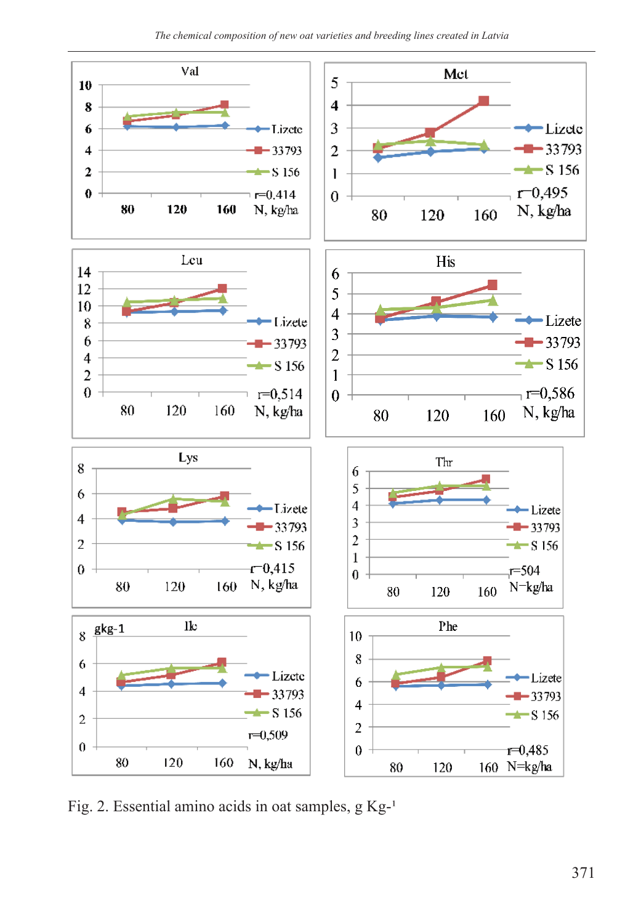

Fig. 2. Essential amino acids in oat samples,  $g Kg^{-1}$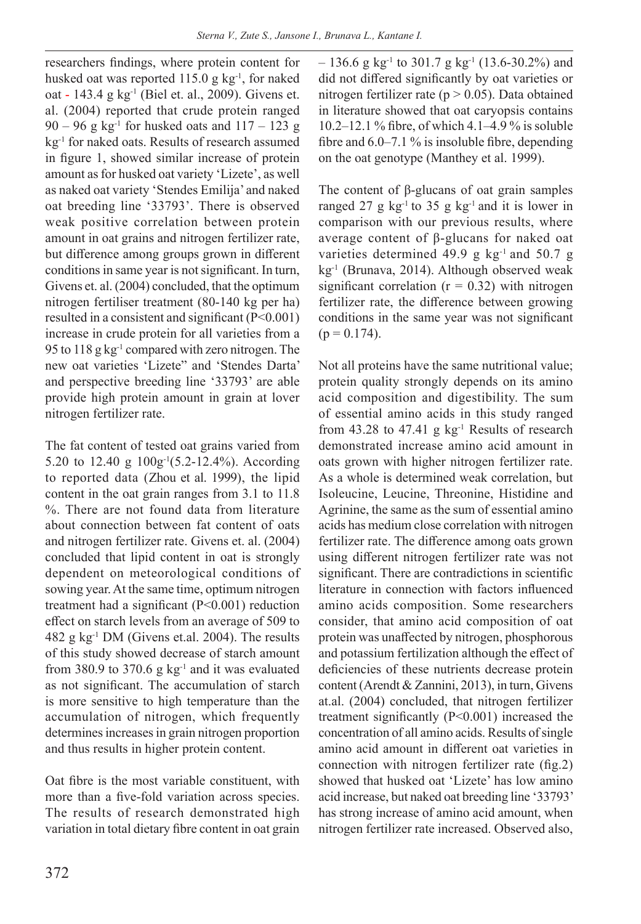researchers findings, where protein content for husked oat was reported 115.0 g kg<sup>-1</sup>, for naked oat - 143.4 g kg<sup>-1</sup> (Biel et. al., 2009). Givens et. al. (2004) reported that crude protein ranged  $90 - 96$  g kg<sup>-1</sup> for husked oats and  $117 - 123$  g kg-1 for naked oats. Results of research assumed in figure 1, showed similar increase of protein amount as for husked oat variety 'Lizete', as well as naked oat variety 'Stendes Emilija' and naked oat breeding line '33793'. There is observed weak positive correlation between protein amount in oat grains and nitrogen fertilizer rate, but difference among groups grown in different conditions in same year is not significant. In turn, Givens et. al. (2004) concluded, that the optimum nitrogen fertiliser treatment (80-140 kg per ha) resulted in a consistent and significant (P<0.001) increase in crude protein for all varieties from a 95 to  $118$  g kg<sup>-1</sup> compared with zero nitrogen. The new oat varieties 'Lizete" and 'Stendes Darta' and perspective breeding line '33793' are able provide high protein amount in grain at lover nitrogen fertilizer rate.

The fat content of tested oat grains varied from 5.20 to 12.40 g 100g-1(5.2-12.4%). According to reported data (Zhou et al. 1999), the lipid content in the oat grain ranges from 3.1 to 11.8 %. There are not found data from literature about connection between fat content of oats and nitrogen fertilizer rate. Givens et. al. (2004) concluded that lipid content in oat is strongly dependent on meteorological conditions of sowing year. At the same time, optimum nitrogen treatment had a significant (P<0.001) reduction effect on starch levels from an average of 509 to 482 g kg-1 DM (Givens et.al. 2004). The results of this study showed decrease of starch amount from 380.9 to 370.6 g  $kg^{-1}$  and it was evaluated as not significant. The accumulation of starch is more sensitive to high temperature than the accumulation of nitrogen, which frequently determines increases in grain nitrogen proportion and thus results in higher protein content.

Oat fibre is the most variable constituent, with more than a five-fold variation across species. The results of research demonstrated high variation in total dietary fibre content in oat grain  $-136.6$  g kg<sup>-1</sup> to 301.7 g kg<sup>-1</sup> (13.6-30.2%) and did not differed significantly by oat varieties or nitrogen fertilizer rate ( $p > 0.05$ ). Data obtained in literature showed that oat caryopsis contains 10.2–12.1 % fibre, of which 4.1–4.9 % is soluble fibre and  $6.0-7.1\%$  is insoluble fibre, depending on the oat genotype (Manthey et al. 1999).

The content of β-glucans of oat grain samples ranged 27 g  $kg^{-1}$  to 35 g  $kg^{-1}$  and it is lower in comparison with our previous results, where average content of β-glucans for naked oat varieties determined 49.9 g kg<sup>-1</sup> and 50.7 g kg-1 (Brunava, 2014). Although observed weak significant correlation ( $r = 0.32$ ) with nitrogen fertilizer rate, the difference between growing conditions in the same year was not significant  $(p = 0.174)$ .

Not all proteins have the same nutritional value; protein quality strongly depends on its amino acid composition and digestibility. The sum of essential amino acids in this study ranged from 43.28 to 47.41 g  $kg^{-1}$  Results of research demonstrated increase amino acid amount in oats grown with higher nitrogen fertilizer rate. As a whole is determined weak correlation, but Isoleucine, Leucine, Threonine, Histidine and Agrinine, the same as the sum of essential amino acids has medium close correlation with nitrogen fertilizer rate. The difference among oats grown using different nitrogen fertilizer rate was not significant. There are contradictions in scientific literature in connection with factors influenced amino acids composition. Some researchers consider, that amino acid composition of oat protein was unaffected by nitrogen, phosphorous and potassium fertilization although the effect of deficiencies of these nutrients decrease protein content (Arendt & Zannini, 2013), in turn, Givens at.al. (2004) concluded, that nitrogen fertilizer treatment significantly (P<0.001) increased the concentration of all amino acids. Results of single amino acid amount in different oat varieties in connection with nitrogen fertilizer rate (fig.2) showed that husked oat 'Lizete' has low amino acid increase, but naked oat breeding line '33793' has strong increase of amino acid amount, when nitrogen fertilizer rate increased. Observed also,